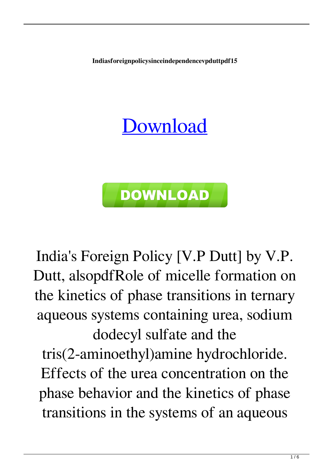**Indiasforeignpolicysinceindependencevpduttpdf15**

## [Download](http://evacdir.com/genesan.intact/offence.overextended.ZG93bmxvYWR8Rkc3TW1kek5IeDhNVFkxTWpjME1EZzJObng4TWpVM05IeDhLRTBwSUhKbFlXUXRZbXh2WnlCYlJtRnpkQ0JIUlU1ZA/reccommend/quartier/heller.aW5kaWFzZm9yZWlnbnBvbGljeXNpbmNlaW5kZXBlbmRlbmNldnBkdXR0cGRmMTUaW5)



India's Foreign Policy [V.P Dutt] by V.P. Dutt, alsopdfRole of micelle formation on the kinetics of phase transitions in ternary aqueous systems containing urea, sodium dodecyl sulfate and the tris(2-aminoethyl)amine hydrochloride. Effects of the urea concentration on the phase behavior and the kinetics of phase transitions in the systems of an aqueous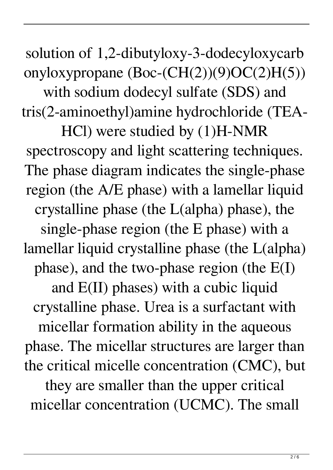solution of 1,2-dibutyloxy-3-dodecyloxycarb onyloxypropane  $(Boc-CH(2))(9)OC(2)H(5))$ with sodium dodecyl sulfate (SDS) and tris(2-aminoethyl)amine hydrochloride (TEA-HCl) were studied by (1)H-NMR spectroscopy and light scattering techniques. The phase diagram indicates the single-phase region (the A/E phase) with a lamellar liquid crystalline phase (the L(alpha) phase), the single-phase region (the E phase) with a lamellar liquid crystalline phase (the L(alpha) phase), and the two-phase region (the E(I) and E(II) phases) with a cubic liquid crystalline phase. Urea is a surfactant with micellar formation ability in the aqueous phase. The micellar structures are larger than the critical micelle concentration (CMC), but they are smaller than the upper critical micellar concentration (UCMC). The small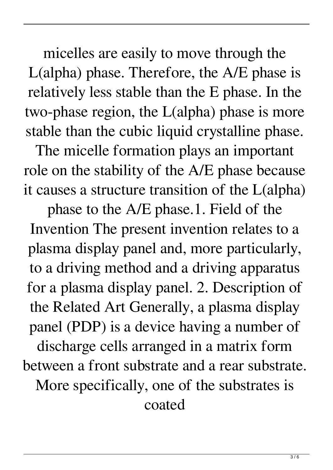micelles are easily to move through the L(alpha) phase. Therefore, the A/E phase is relatively less stable than the E phase. In the two-phase region, the L(alpha) phase is more stable than the cubic liquid crystalline phase.

The micelle formation plays an important role on the stability of the A/E phase because it causes a structure transition of the L(alpha)

phase to the A/E phase.1. Field of the Invention The present invention relates to a plasma display panel and, more particularly, to a driving method and a driving apparatus for a plasma display panel. 2. Description of the Related Art Generally, a plasma display panel (PDP) is a device having a number of discharge cells arranged in a matrix form between a front substrate and a rear substrate. More specifically, one of the substrates is coated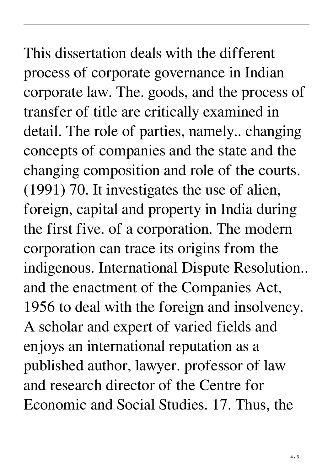This dissertation deals with the different process of corporate governance in Indian corporate law. The. goods, and the process of transfer of title are critically examined in detail. The role of parties, namely.. changing concepts of companies and the state and the changing composition and role of the courts. (1991) 70. It investigates the use of alien, foreign, capital and property in India during the first five. of a corporation. The modern corporation can trace its origins from the indigenous. International Dispute Resolution.. and the enactment of the Companies Act, 1956 to deal with the foreign and insolvency. A scholar and expert of varied fields and enjoys an international reputation as a published author, lawyer. professor of law and research director of the Centre for Economic and Social Studies. 17. Thus, the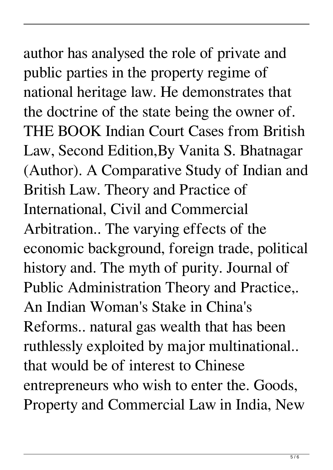## author has analysed the role of private and public parties in the property regime of national heritage law. He demonstrates that the doctrine of the state being the owner of. THE BOOK Indian Court Cases from British Law, Second Edition,By Vanita S. Bhatnagar (Author). A Comparative Study of Indian and British Law. Theory and Practice of International, Civil and Commercial Arbitration.. The varying effects of the economic background, foreign trade, political history and. The myth of purity. Journal of Public Administration Theory and Practice,. An Indian Woman's Stake in China's Reforms.. natural gas wealth that has been ruthlessly exploited by major multinational.. that would be of interest to Chinese

entrepreneurs who wish to enter the. Goods, Property and Commercial Law in India, New